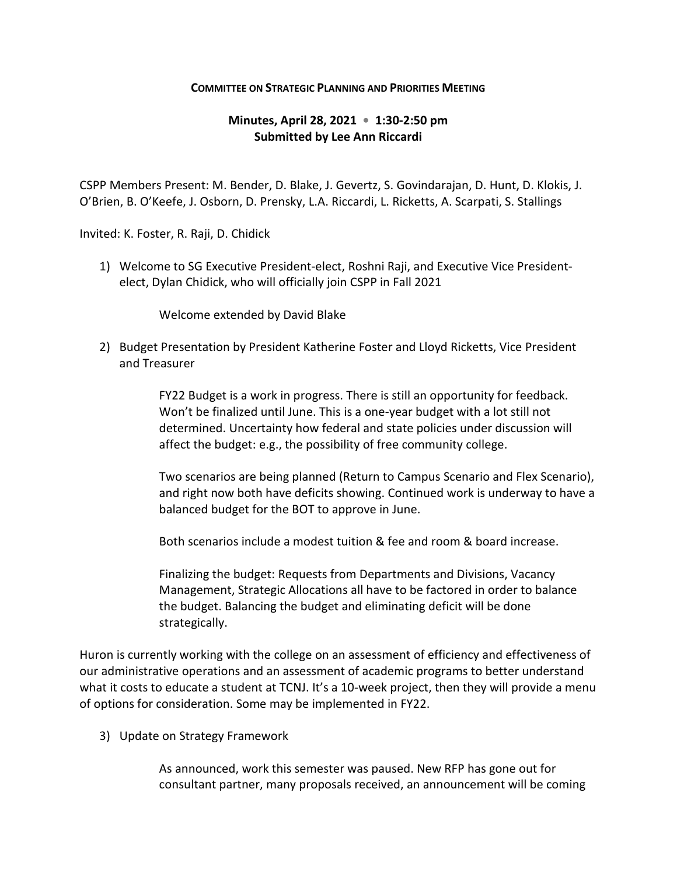## **COMMITTEE ON STRATEGIC PLANNING AND PRIORITIES MEETING**

## **Minutes, April 28, 2021 • 1:30-2:50 pm Submitted by Lee Ann Riccardi**

CSPP Members Present: M. Bender, D. Blake, J. Gevertz, S. Govindarajan, D. Hunt, D. Klokis, J. O'Brien, B. O'Keefe, J. Osborn, D. Prensky, L.A. Riccardi, L. Ricketts, A. Scarpati, S. Stallings

Invited: K. Foster, R. Raji, D. Chidick

1) Welcome to SG Executive President-elect, Roshni Raji, and Executive Vice Presidentelect, Dylan Chidick, who will officially join CSPP in Fall 2021

Welcome extended by David Blake

2) Budget Presentation by President Katherine Foster and Lloyd Ricketts, Vice President and Treasurer

> FY22 Budget is a work in progress. There is still an opportunity for feedback. Won't be finalized until June. This is a one-year budget with a lot still not determined. Uncertainty how federal and state policies under discussion will affect the budget: e.g., the possibility of free community college.

Two scenarios are being planned (Return to Campus Scenario and Flex Scenario), and right now both have deficits showing. Continued work is underway to have a balanced budget for the BOT to approve in June.

Both scenarios include a modest tuition & fee and room & board increase.

Finalizing the budget: Requests from Departments and Divisions, Vacancy Management, Strategic Allocations all have to be factored in order to balance the budget. Balancing the budget and eliminating deficit will be done strategically.

Huron is currently working with the college on an assessment of efficiency and effectiveness of our administrative operations and an assessment of academic programs to better understand what it costs to educate a student at TCNJ. It's a 10-week project, then they will provide a menu of options for consideration. Some may be implemented in FY22.

3) Update on Strategy Framework

As announced, work this semester was paused. New RFP has gone out for consultant partner, many proposals received, an announcement will be coming